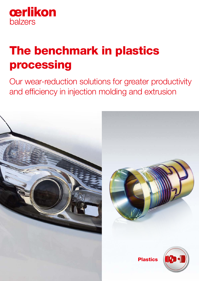

# The benchmark in plastics processing

Our wear-reduction solutions for greater productivity and efficiency in injection molding and extrusion

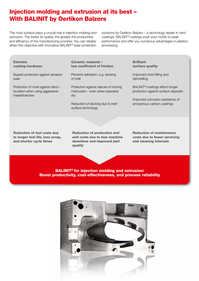# Injection molding and extrusion at its best – With BALINIT by Oerlikon Balzers

The mold surface plays a crucial role in injection molding and extrusion: The better its quality, the greater the productivity and efficiency of the manufacturing process. You can reliably attain this objective with innovative BALINIT® wear protection solutions by Oerlikon Balzers – a technology leader in hard coatings. BALINIT® coatings push your molds to peak performance and offer you numerous advantages in plastics processing.

Extreme coating hardness

Superb protection against abrasive wear

Protection of mold against discolouration when using aggressive masterbatches

Ceramic material – low coefficient of friction

Prevents adhesion, e.g. sticking of melt

Protection against seizure of moving mold parts – even when operated dry

Reduction of sticking due to inert surface technology

**Brilliant** surface quality

Improved mold filling and demolding

BALINIT® coatings afford longer protection against surface deposits

Improved corrosion resistance of amorphous carbon coatings

Reduction of tool costs due to longer tool life, less scrap, and shorter cycle times

Reduction of production and unit costs due to less machine downtime and improved part quality

Reduction of maintenance costs due to fewer servicing and cleaning intervals

BALINIT® for injection molding and extrusion: Boost productivity, cost-effectiveness, and process reliability

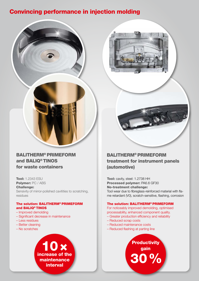# Convincing performance in injection molding



Tool: 1.2343 ESU Polymer: PC / ABS Challenge: Sensivity of mirror-polished cavitities to scratching, residues

### The solution: BALITHERM® PRIMEFORM and BALIQ® TINOS

- Improved demolding
- Significant decrease in maintenance
- Less residues
- Better cleaning
- No scratches





### BALITHERM® PRIMEFORM treatment for instrument panels (automotive)

Tool: cavity, steel: 1.2738 HH Processed polymer: PA6.6 GF30 No-treatment challenge: Tool wear due to fibreglass-reinforced material with flame retardant (V0), scratch-sensitive, flashing, corrosion

### The solution: BALITHERM® PRIMEFORM

For noticeably improved demolding, optimised processability, enhanced component quality.

- Greater production efficiency and reliability
- Reduced scrap costs
- Reduced maintenance costs
- Reduced flashing at parting line

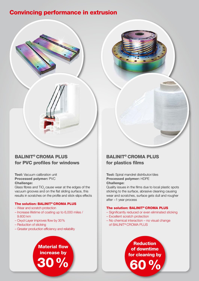# Convincing performance in extrusion

### BALINIT® CROMA PLUS for PVC profiles for windows

Tool: Vacuum calibration unit Processed polymer: PVC Challenge:

Glass fibres and TiO<sub>2</sub> cause wear at the edges of the vacuum grooves and on the flat sliding surface, this results in scratches on the profile and stick-slips effects

### The solution: BALINIT® CROMA PLUS

- Wear and scratch protection
- Increase lifetime of coating up to 6,000 miles / 9.600 km

Material flow increase by

- Oxyd-Layer improves flow by 30%
- Reduction of sticking
- Greater production efficiency and reliability

30%

### BALINIT® CROMA PLUS for plastics films

#### Tool: Spiral mandrel distributor/dies Processed polymer: HDPE Challenge:

Quality issues in the films due to local plastic spots sticking to the surface, abrasive cleaning causing wear and scratches, surface gets dull and rougher after ~1 year process

#### The solution: BALINIT® CROMA PLUS

- Significantly reduced or even eliminated sticking
- Excellent scratch protection
- No chemical interaction no visual change of BALINIT® CROMA PLUS

**Reduction** of downtime for cleaning by 60%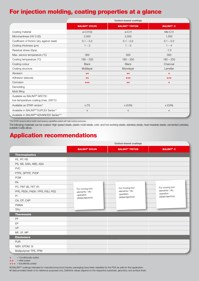# For injection molding, coating properties at a glance

|                                                   | <b>Carbon-based coatings</b>     |                                   |                              |  |
|---------------------------------------------------|----------------------------------|-----------------------------------|------------------------------|--|
|                                                   | <b>BALINIT<sup>®</sup> DYLYN</b> | <b>BALINIT<sup>®</sup> TRITON</b> | <b>BALINIT<sup>®</sup> C</b> |  |
| Coating material                                  | a-C:H:Si                         | a-C:H                             | $Me-C:H$                     |  |
| Microhardness (HV 0.05)                           | 2,500                            | 2,500                             | 1,500                        |  |
| Coefficient of friction (dry against steel)       | $0.1 - 0.2$                      | $0.1 - 0.2$                       | $0.1 - 0.2$                  |  |
| Coating thickness (µm)                            | $1 - 3$                          | $1 - 3$                           | $1 - 4$                      |  |
| Residual stress (Gpa)                             |                                  |                                   | $-1.0$                       |  |
| Max. service temperature (°C)                     | 300                              | 300                               | 300                          |  |
| Coating temperature (°C)                          | $180 - 220$                      | $180 - 250$                       | $180 - 250$                  |  |
| Coating colour                                    | <b>Black</b>                     | <b>Black</b>                      | Charcoal                     |  |
| Coating structure                                 | Multilayer                       | Monolayer                         | Lamellar                     |  |
| Abrasion                                          | $++$                             | $++$                              | ÷                            |  |
| Adhesion (seizure)                                | $++$                             | $+ + +$                           | $+ + +$                      |  |
| Corrosion                                         | $+ + +$                          | $++$                              | ٠                            |  |
| Demolding                                         |                                  |                                   |                              |  |
| Mold filling                                      |                                  |                                   |                              |  |
| Available as BALINIT <sup>®</sup> ARCTIC          |                                  |                                   |                              |  |
| low-temperature coating (max. 200°C)              |                                  |                                   |                              |  |
| Available as STAR version*                        | x(Ti)                            | $x$ (CrN)                         | $x$ (CrN)                    |  |
| Available in BALINIT <sup>®</sup> DUPLEX Series** | $\times$                         | $\times$                          | $\times$                     |  |
| Available in BALINIT® ADVANCED Series***          |                                  |                                   |                              |  |

\*The STAR versions deliver better load-bearing capabilities paired with high surface pressures.

The following materials can be coated: High-speed steels, plastic mold steels, cold- and hot-working steels, stainless steels, heat-treatable steels, cemented carbides, suitable CuBe alloys.

# Application recommendations

|                                 | <b>Carbon-based coatings</b>     |                                   |                              |  |
|---------------------------------|----------------------------------|-----------------------------------|------------------------------|--|
|                                 | <b>BALINIT<sup>®</sup> DYLYN</b> | <b>BALINIT<sup>®</sup> TRITON</b> | <b>BALINIT<sup>®</sup> C</b> |  |
| <b>Thermoplastics</b>           |                                  |                                   |                              |  |
| PE, PP, PB                      |                                  |                                   |                              |  |
| PS, SB, SAN, ABS, ASA           |                                  |                                   |                              |  |
| <b>PVC</b>                      |                                  |                                   |                              |  |
| PTFE, SPTFE, PVDF               |                                  |                                   |                              |  |
| <b>POM</b>                      |                                  |                                   |                              |  |
| PA                              |                                  |                                   |                              |  |
| PC, PBT (B), PET (P)            | For moving tool                  | For moving tool                   | For moving tool              |  |
| PPE, PEEK, PAEK / PPS, PSU, PES | elements / dry                   | elements / dry                    | elements / dry<br>operation  |  |
| PI                              | operation<br>(slides/ejectors)   | operation<br>(slides/ejectors)    | (slides/ejectors)            |  |
| CA, CP, CAP                     |                                  |                                   |                              |  |
| <b>PMMA</b>                     |                                  |                                   |                              |  |
| <b>TPU</b>                      |                                  |                                   |                              |  |
| <b>Thermosets</b>               |                                  |                                   |                              |  |
| PF                              |                                  |                                   |                              |  |
| EP                              |                                  |                                   |                              |  |
| <b>UP</b>                       |                                  |                                   |                              |  |
| MF, UF, MP                      |                                  |                                   |                              |  |
| <b>Elastomere</b>               |                                  |                                   |                              |  |
| <b>PUR</b>                      |                                  |                                   |                              |  |
| NBR, EPDM, Si                   |                                  |                                   |                              |  |
| Multipolymer TPE, FPM           |                                  |                                   |                              |  |

 $+$  = Conditionally suited<br> $++$  = Well suited

= Well suited

 $+ + +$  = Excellently suited

All BALINIT® coatings intended for manufacturing food industry packaging have been classified by the FDA as safe for this application.

All data provided herein is for reference purposes only. Definitive values depend on the respective substrate, geometry, and surface finish.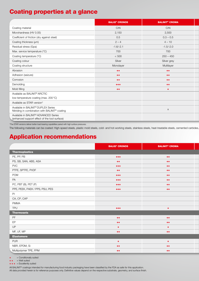# Coating properties at a glance

|                                                                                                    | <b>BALIQ<sup>®</sup> CRONOS</b> | <b>BALINIT<sup>®</sup> CROMA</b> |
|----------------------------------------------------------------------------------------------------|---------------------------------|----------------------------------|
| Coating material                                                                                   | CrN                             | CrN                              |
| Microhardness (HV 0.05)                                                                            | 2,150                           | 2,500                            |
| Coefficient of friction (dry against steel)                                                        | 0.5                             | $0.3 - 0.5$                      |
| Coating thickness (µm)                                                                             | $2 - 4$                         | $4 - 10$                         |
| Residual stress (Gpa)                                                                              | $-1.6/-2.1$                     | $-1.5/-2.0$                      |
| Max. service temperature (°C)                                                                      | 700                             | 700                              |
| Coating temperature (°C)                                                                           | < 500                           | $250 - 450$                      |
| Coating colour                                                                                     | Silver                          | Silver grey                      |
| Coating structure                                                                                  | Monolayer                       | Multilayer                       |
| Abrasion                                                                                           | $++$                            | $++$                             |
| Adhesion (seizure)                                                                                 | $++$                            | $++$                             |
| Corrosion                                                                                          | $++$                            | $++$                             |
| Demolding                                                                                          | $+ + +$                         | $+ +$                            |
| Mold filling                                                                                       | $++$                            | $\ddot{\phantom{1}}$             |
| Available as BALINIT® ARCTIC                                                                       |                                 |                                  |
| low-temperature coating (max. 200°C)                                                               |                                 |                                  |
| Available as STAR version*                                                                         |                                 |                                  |
| Available in BALINIT® DUPLEX Series<br>Nitriding in combination with BALINIT® coating              |                                 | $\times$                         |
| Available in BALINIT <sup>®</sup> ADVANCED Series<br>(enhanced support effect of the tool surface) |                                 |                                  |

\*The STAR versions deliver better load-bearing capabilities paired with high surface pressures.

The following materials can be coated: High-speed steels, plastic mold steels, cold- and hot-working steels, stainless steels, heat-treatable steels, cemented carbides,

# Application recommendations

|                                 | <b>BALIQ<sup>®</sup> CRONOS</b> | <b>BALINIT<sup>®</sup> CROMA</b> |
|---------------------------------|---------------------------------|----------------------------------|
| <b>Thermoplastics</b>           |                                 |                                  |
| PE, PP, PB                      | $+ + +$                         | $++$                             |
| PS, SB, SAN, ABS, ASA           | $^{\rm ++}$                     | $++$                             |
| <b>PVC</b>                      | $+ + +$                         | $++$                             |
| PTFE, SPTFE, PVDF               | $++$                            | $++$                             |
| POM                             | $+ + +$                         | $++$                             |
| PA                              | $+ + +$                         | $+ +$                            |
| PC, PBT (B), PET (P)            | $+ + +$                         | $++$                             |
| PPE, PEEK, PAEK / PPS, PSU, PES | $+ + +$                         | $++$                             |
| PI                              |                                 |                                  |
| CA, CP, CAP                     |                                 |                                  |
| PMMA                            |                                 |                                  |
| TPU                             | $+ + +$                         | $\ddot{\phantom{1}}$             |
| <b>Thermosets</b>               |                                 |                                  |
| $\mathsf{PF}$                   | $++$                            | $++$                             |
| EP                              | $++$                            | $+ +$                            |
| UP                              | $\pm$                           | $\ddot{\phantom{1}}$             |
| MF, UF, MP                      | $++$                            | $+ +$                            |
| <b>Elastomere</b>               |                                 |                                  |
| PUR                             | $+$                             | $\pm$                            |
| NBR, EPDM, Si                   | $\pm\pm$                        | $++$                             |
| Multipolymer TPE, FPM           | $++$                            | $++$                             |

 $+$  = Conditionally suited<br> $++$  = Well suited

= Well suited

 $+ + +$  = Excellently suited

All BALINIT® coatings intended for manufacturing food industry packaging have been classified by the FDA as safe for this application.

All data provided herein is for reference purposes only. Definitive values depend on the respective substrate, geometry, and surface finish.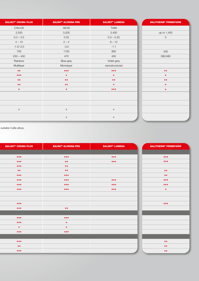| <b>BALINIT<sup>®</sup> CROMA PLUS</b> | <b>BALINIT<sup>®</sup> ALCRONA PRO</b> | <b>BALINIT<sup>®</sup> LUMENA</b> | <b>BALITHERM<sup>®</sup> PRIMEFORM</b> |
|---------------------------------------|----------------------------------------|-----------------------------------|----------------------------------------|
| $CrN+OX$                              | AICrN                                  | <b>TiAIN</b>                      |                                        |
| 2,500                                 | 3,200                                  | 3,400                             | up to 1,400                            |
| $0.3 - 0.5$                           | 0.35                                   | $0.3 - 0.35$                      | $\circ$                                |
| $4 - 10$                              | $2 - 4$                                | $8 - 12$                          |                                        |
| $-1.5/-2.0$                           | $-3.0$                                 | $-1.1$                            |                                        |
| 700                                   | 1100                                   | 900                               | 400                                    |
| $250 - 450$                           | 470                                    | 450                               | 380/480                                |
| Rainbow                               | Blue-grey                              | Violet-grey                       |                                        |
| Multilayer                            | Monolayer                              | nanostructured                    |                                        |
| $++$                                  | $+ + +$                                | $+ + +$                           | $++$                                   |
| $+ + +$                               | $\pm$                                  | $\pm$                             | $\pm$                                  |
| $++$                                  | $++$                                   | $++$                              | $++$                                   |
| $++$                                  | $++$                                   | $+$                               | $+$                                    |
| $+$                                   | $\pm$                                  | $+ + +$                           | $\ddot{\phantom{1}}$                   |
|                                       |                                        |                                   |                                        |
|                                       |                                        |                                   |                                        |
|                                       |                                        |                                   |                                        |
| $\times$                              | $\times$                               | $\mathsf{X}$                      |                                        |
|                                       | $\mathsf{X}$                           | $\mathsf{X}$                      |                                        |

suitable CuBe alloys.

| <b>BALINIT<sup>®</sup> CROMA PLUS</b> | <b>BALINIT<sup>®</sup> ALCRONA PRO</b> | BALINIT <sup>®</sup> LUMENA | <b>BALITHERM<sup>®</sup> PRIMEFORM</b> |
|---------------------------------------|----------------------------------------|-----------------------------|----------------------------------------|
|                                       |                                        |                             |                                        |
| $+ + +$                               | $+ + +$                                | $+ + +$                     | $+ + + +$                              |
| $+ + +$                               | $++$                                   | $+ + +$                     | $+ + +$                                |
| $+ + +$                               | $++$                                   |                             |                                        |
| $++$                                  | $\pm\pm$                               |                             | $++$                                   |
| $+ + +$                               | $+++$                                  |                             | $++$                                   |
| $+ + +$                               | $+ + +$                                | $+ + +$                     | $+ + +$                                |
| $+ + +$                               | $+ + +$                                | $+ + +$                     | $+ + +$                                |
| $+ + +$                               | $+ + +$                                | $+ + +$                     | $\pm$ .                                |
|                                       |                                        |                             |                                        |
|                                       |                                        |                             |                                        |
| $+ + +$                               |                                        |                             | $+ + +$                                |
| $+ + +$                               | $++$                                   |                             |                                        |
|                                       |                                        |                             |                                        |
| $+ + +$                               | $+ + +$                                |                             |                                        |
| $+ + +$                               | $\pm$                                  |                             |                                        |
| $+$                                   | $\pm$                                  |                             |                                        |
| $+ + +$                               | $+ + +$                                |                             |                                        |
|                                       |                                        |                             |                                        |
| $+ + +$                               |                                        |                             | $++$                                   |
| $++$                                  |                                        |                             | $++$                                   |
| $+ + +$                               |                                        |                             | $++$                                   |
|                                       |                                        |                             |                                        |